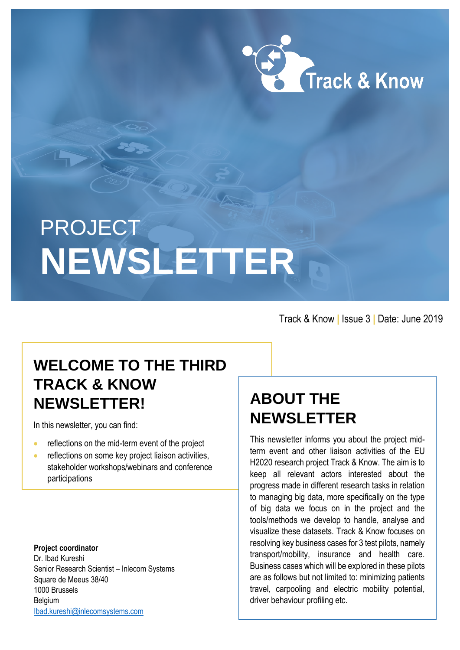

# PROJECT **NEWSLETTER**

Track & Know **|** Issue 3 **|** Date: June 2019

## **WELCOME TO THE THIRD TRACK & KNOW NEWSLETTER!**

In this newsletter, you can find:

- **•** reflections on the mid-term event of the project
- **•** reflections on some key project liaison activities, stakeholder workshops/webinars and conference participations

**Project coordinator** Dr. Ibad Kureshi Senior Research Scientist – Inlecom Systems Square de Meeus 38/40 1000 Brussels Belgium [Ibad.kureshi@inlecomsystems.com](mailto:Ibad.kureshi@inlecomsystems.com)

# **ABOUT THE NEWSLETTER**

This newsletter informs you about the project midterm event and other liaison activities of the EU H2020 research project Track & Know. The aim is to keep all relevant actors interested about the progress made in different research tasks in relation to managing big data, more specifically on the type of big data we focus on in the project and the tools/methods we develop to handle, analyse and visualize these datasets. Track & Know focuses on resolving key business cases for 3 test pilots, namely transport/mobility, insurance and health care. Business cases which will be explored in these pilots are as follows but not limited to: minimizing patients travel, carpooling and electric mobility potential, driver behaviour profiling etc.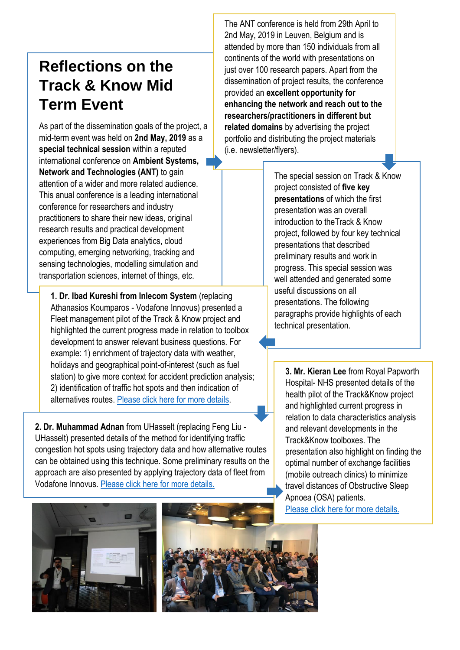## **Reflections on the Track & Know Mid Term Event**

As part of the dissemination goals of the project, a mid-term event was held on **2nd May, 2019** as a **special technical session** within a reputed international conference on **Ambient Systems, Network and Technologies (ANT)** to gain attention of a wider and more related audience. This anual conference is a leading international conference for researchers and industry practitioners to share their new ideas, original research results and practical development experiences from Big Data analytics, cloud computing, emerging networking, tracking and sensing technologies, modelling simulation and transportation sciences, internet of things, etc.

**1. Dr. Ibad Kureshi from Inlecom System** (replacing Athanasios Koumparos - Vodafone Innovus) presented a Fleet management pilot of the Track & Know project and highlighted the current progress made in relation to toolbox development to answer relevant business questions. For example: 1) enrichment of trajectory data with weather, holidays and geographical point-of-interest (such as fuel station) to give more context for accident prediction analysis; 2) identification of traffic hot spots and then indication of alternatives routes. [Please click here for more details.](https://trackandknowproject.eu/wp-content/uploads/2019/05/Business-Innovation-in-the-Development-of-Big-Data-Toolboxes-for-the-Management-of-Professional-Vehicle-Fleets.pdf)

**2. Dr. Muhammad Adnan** from UHasselt (replacing Feng Liu - UHasselt) presented details of the method for identifying traffic congestion hot spots using trajectory data and how alternative routes can be obtained using this technique. Some preliminary results on the approach are also presented by applying trajectory data of fleet from Vodafone Innovus. [Please click here for more details.](https://trackandknowproject.eu/wp-content/uploads/2019/05/Feng_Adnan_VFI_data_UH_day1.pdf)

The ANT conference is held from 29th April to 2nd May, 2019 in Leuven, Belgium and is attended by more than 150 individuals from all continents of the world with presentations on just over 100 research papers. Apart from the dissemination of project results, the conference provided an **excellent opportunity for enhancing the network and reach out to the researchers/practitioners in different but related domains** by advertising the project portfolio and distributing the project materials (i.e. newsletter/flyers).

> The special session on Track & Know project consisted of **five key presentations** of which the first presentation was an overall introduction to theTrack & Know project, followed by four key technical presentations that described preliminary results and work in progress. This special session was well attended and generated some useful discussions on all presentations. The following paragraphs provide highlights of each technical presentation.

**3. Mr. Kieran Lee** from Royal Papworth Hospital- NHS presented details of the health pilot of the Track&Know project and highlighted current progress in relation to data characteristics analysis and relevant developments in the Track&Know toolboxes. The presentation also highlight on finding the optimal number of exchange facilities (mobile outreach clinics) to minimize travel distances of Obstructive Sleep Apnoea (OSA) patients. [Please click here for more details.](https://trackandknowproject.eu/wp-content/uploads/2019/05/Kieran_Lee_ROYAL_Papworth.pdf)



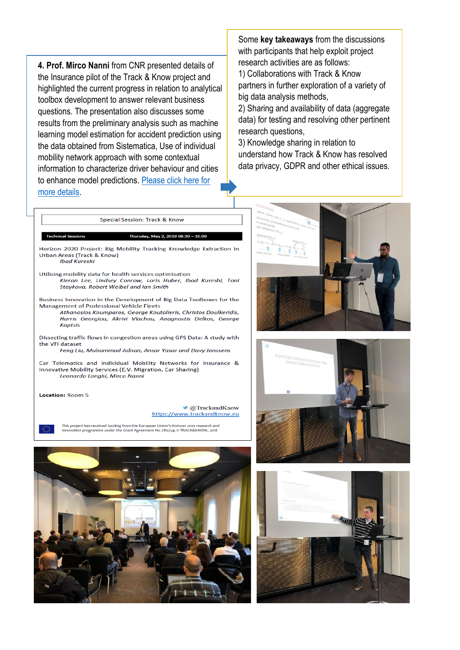**4. Prof. Mirco Nanni** from CNR presented details of the Insurance pilot of the Track & Know project and highlighted the current progress in relation to analytical toolbox development to answer relevant business questions. The presentation also discusses some results from the preliminary analysis such as machine learning model estimation for accident prediction using the data obtained from Sistematica, Use of individual mobility network approach with some contextual information to characterize driver behaviour and cities to enhance model predictions. [Please click here for](https://trackandknowproject.eu/wp-content/uploads/2019/05/ANT19_TK_Session_Mirco_.pdf)  [more details.](https://trackandknowproject.eu/wp-content/uploads/2019/05/ANT19_TK_Session_Mirco_.pdf)

Some **key takeaways** from the discussions with participants that help exploit project research activities are as follows:

1) Collaborations with Track & Know partners in further exploration of a variety of big data analysis methods,

2) Sharing and availability of data (aggregate data) for testing and resolving other pertinent research questions,

3) Knowledge sharing in relation to understand how Track & Know has resolved data privacy, GDPR and other ethical issues.



Special Session: Track & Know

Car Telematics and Individual Mobility Networks for Insurance & Innovative Mobility Services (E.V. Migration, Car Sharing) Leonardo Longhi, Mirco Nanni

Location: Room 5

@TrackandKnow https://www.trackandknow.eu

This project has received funding from the European Union's Horizon 2020 research and innovation programme under the Grant Agreement No 780754. © TRACK&KNOW, 2018







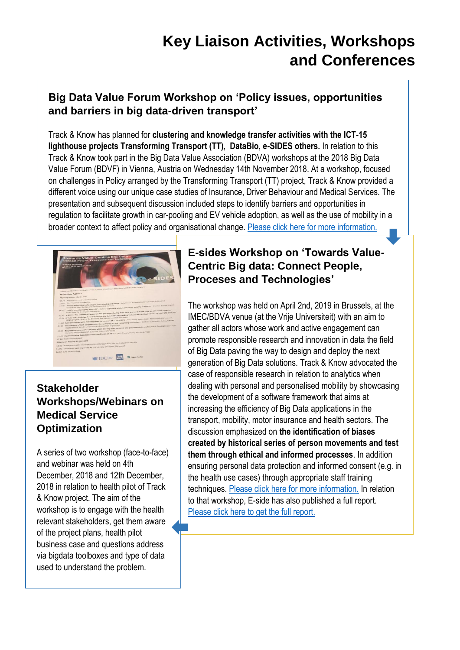### **Key Liaison Activities, Workshops and Conferences**

#### **Big Data Value Forum Workshop on 'Policy issues, opportunities and barriers in big data-driven transport'**

Track & Know has planned for **clustering and knowledge transfer activities with the ICT-15 lighthouse projects Transforming Transport (TT), DataBio, e-SIDES others.** In relation to this Track & Know took part in the Big Data Value Association (BDVA) workshops at the 2018 Big Data Value Forum (BDVF) in Vienna, Austria on Wednesday 14th November 2018. At a workshop, focused on challenges in Policy arranged by the Transforming Transport (TT) project, Track & Know provided a different voice using our unique case studies of Insurance, Driver Behaviour and Medical Services. The presentation and subsequent discussion included steps to identify barriers and opportunities in regulation to facilitate growth in car-pooling and EV vehicle adoption, as well as the use of mobility in a broader context to affect policy and organisational change. [Please click here for more information.](https://trackandknowproject.eu/wp-content/uploads/2019/05/Ibad_BDVA_presentation1.pdf)



#### **Stakeholder Workshops/Webinars on Medical Service Optimization**

A series of two workshop (face-to-face) and webinar was held on 4th December, 2018 and 12th December, 2018 in relation to health pilot of Track & Know project. The aim of the workshop is to engage with the health relevant stakeholders, get them aware of the project plans, health pilot business case and questions address via bigdata toolboxes and type of data used to understand the problem.

#### **E-sides Workshop on 'Towards Value-Centric Big data: Connect People, Proceses and Technologies'**

The workshop was held on April 2nd, 2019 in Brussels, at the IMEC/BDVA venue (at the Vrije Universiteit) with an aim to gather all actors whose work and active engagement can promote responsible research and innovation in data the field of Big Data paving the way to design and deploy the next generation of Big Data solutions. Track & Know advocated the case of responsible research in relation to analytics when dealing with personal and personalised mobility by showcasing the development of a software framework that aims at increasing the efficiency of Big Data applications in the transport, mobility, motor insurance and health sectors. The discussion emphasized on **the identification of biases created by historical series of person movements and test them through ethical and informed processes**. In addition ensuring personal data protection and informed consent (e.g. in the health use cases) through appropriate staff training techniques. [Please click here for more information.](https://drive.google.com/file/d/1YdGFXAYWgLnzL8W3-Q1G1PqXTDF10fBN/view) In relation to that workshop, E-side has also published a full report. [Please click here to get the full report.](https://e-sides.eu/resources/towards-value-centric-big-data-e-sides-workshop-report)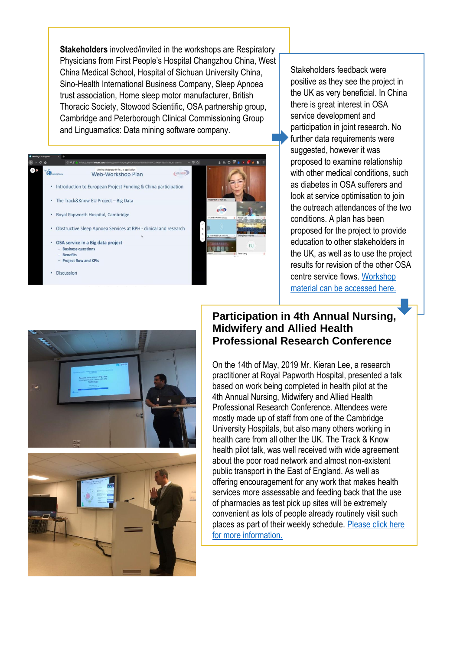**Stakeholders** involved/invited in the workshops are Respiratory Physicians from First People's Hospital Changzhou China, West China Medical School, Hospital of Sichuan University China, Sino-Health International Business Company, Sleep Apnoea trust association, Home sleep motor manufacturer, British Thoracic Society, Stowood Scientific, OSA partnership group, Cambridge and Peterborough Clinical Commissioning Group and Linguamatics: Data mining software company.



Stakeholders feedback were positive as they see the project in the UK as very beneficial. In China there is great interest in OSA service development and participation in joint research. No further data requirements were suggested, however it was proposed to examine relationship with other medical conditions, such as diabetes in OSA sufferers and look at service optimisation to join the outreach attendances of the two conditions. A plan has been proposed for the project to provide education to other stakeholders in the UK, as well as to use the project results for revision of the other OSA centre service flows. [Workshop](https://drive.google.com/file/d/1FhRbnPzj22lHVO6AJoOx8-fNh-hzIzvw/view)  [material can be accessed here.](https://drive.google.com/file/d/1FhRbnPzj22lHVO6AJoOx8-fNh-hzIzvw/view)



#### **Participation in 4th Annual Nursing, Midwifery and Allied Health Professional Research Conference**

On the 14th of May, 2019 Mr. Kieran Lee, a research practitioner at Royal Papworth Hospital, presented a talk based on work being completed in health pilot at the 4th Annual Nursing, Midwifery and Allied Health Professional Research Conference. Attendees were mostly made up of staff from one of the Cambridge University Hospitals, but also many others working in health care from all other the UK. The Track & Know health pilot talk, was well received with wide agreement about the poor road network and almost non-existent public transport in the East of England. As well as offering encouragement for any work that makes health services more assessable and feeding back that the use of pharmacies as test pick up sites will be extremely convenient as lots of people already routinely visit such places as part of their weekly schedule. [Please click here](https://trackandknowproject.eu/wp-content/uploads/2019/05/Kieran_Lee_ROYAL_Papworth.pdf)  [for more information.](https://trackandknowproject.eu/wp-content/uploads/2019/05/Kieran_Lee_ROYAL_Papworth.pdf)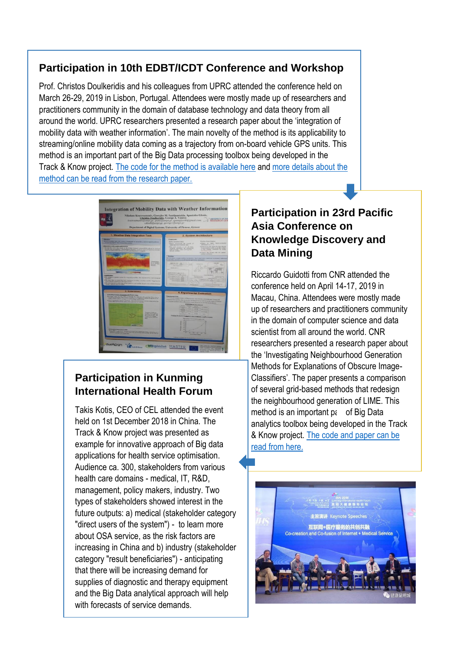#### **Participation in 10th EDBT/ICDT Conference and Workshop**

Prof. Christos Doulkeridis and his colleagues from UPRC attended the conference held on March 26-29, 2019 in Lisbon, Portugal. Attendees were mostly made up of researchers and practitioners community in the domain of database technology and data theory from all around the world. UPRC researchers presented a research paper about the 'integration of mobility data with weather information'. The main novelty of the method is its applicability to streaming/online mobility data coming as a trajectory from on-board vehicle GPS units. This method is an important part of the Big Data processing toolbox being developed in the Track & Know project. The code [for the method is available here](https://github.com/nkoutroumanis/Weather-Integrator) an[d more details about the](http://ceur-ws.org/Vol-2322/BMDA_1.pdf)  [method can be read from the research paper.](http://ceur-ws.org/Vol-2322/BMDA_1.pdf) 



#### **Participation in Kunming International Health Forum**

Takis Kotis, CEO of CEL attended the event held on 1st December 2018 in China. The Track & Know project was presented as example for innovative approach of Big data applications for health service optimisation. Audience ca. 300, stakeholders from various health care domains - medical, IT, R&D, management, policy makers, industry. Two types of stakeholders showed interest in the future outputs: a) medical (stakeholder category "direct users of the system") - to learn more about OSA service, as the risk factors are increasing in China and b) industry (stakeholder category "result beneficiaries") - anticipating that there will be increasing demand for supplies of diagnostic and therapy equipment and the Big Data analytical approach will help with forecasts of service demands.

#### **Participation in 23rd Pacific Asia Conference on Knowledge Discovery and Data Mining**

Riccardo Guidotti from CNR attended the conference held on April 14-17, 2019 in Macau, China. Attendees were mostly made up of researchers and practitioners community in the domain of computer science and data scientist from all around the world. CNR researchers presented a research paper about the 'Investigating Neighbourhood Generation Methods for Explanations of Obscure Image-Classifiers'. The paper presents a comparison of several grid-based methods that redesign the neighbourhood generation of LIME. This method is an important  $p\epsilon$  of Big Data analytics toolbox being developed in the Track & Know project. [The code and paper can be](https://github.com/leqo-c/Tesi/tree/master/PAKDD%202019%20Paper)  [read from here.](https://github.com/leqo-c/Tesi/tree/master/PAKDD%202019%20Paper) 

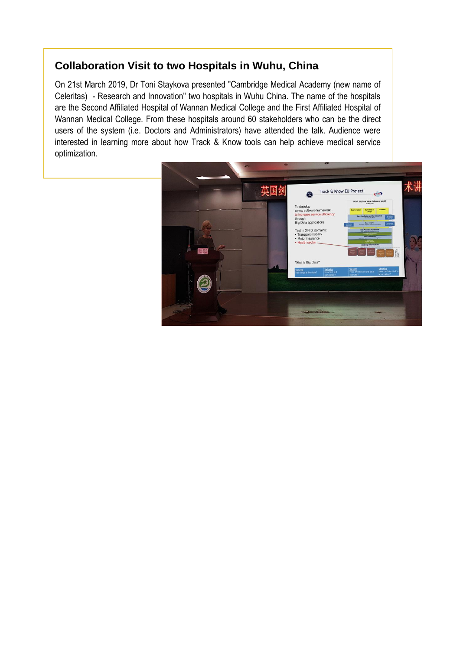#### **Collaboration Visit to two Hospitals in Wuhu, China**

On 21st March 2019, Dr Toni Staykova presented "Cambridge Medical Academy (new name of Celeritas) - Research and Innovation" two hospitals in Wuhu China. The name of the hospitals are the Second Affiliated Hospital of Wannan Medical College and the First Affiliated Hospital of Wannan Medical College. From these hospitals around 60 stakeholders who can be the direct users of the system (i.e. Doctors and Administrators) have attended the talk. Audience were interested in learning more about how Track & Know tools can help achieve medical service optimization.